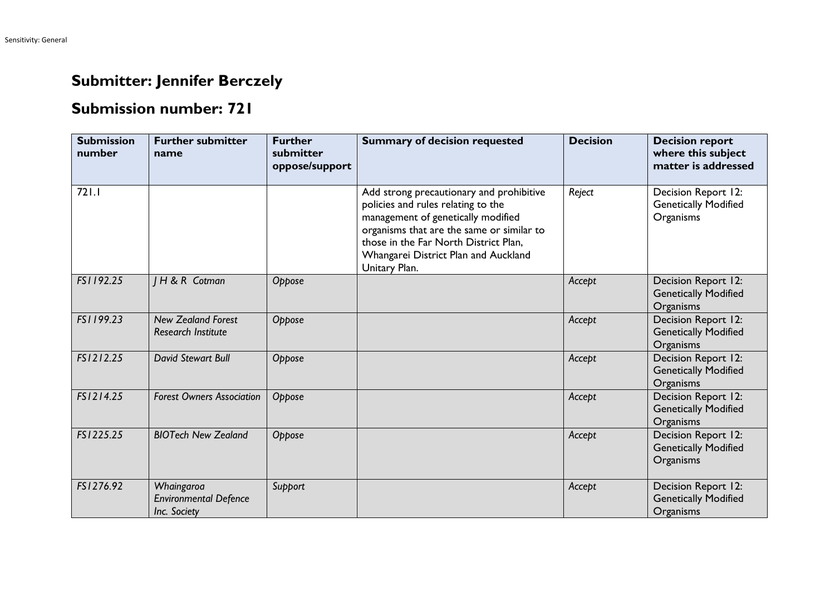## **Submitter: Jennifer Berczely**

## **Submission number: 721**

| <b>Submission</b><br>number | <b>Further submitter</b><br>name                           | <b>Further</b><br>submitter<br>oppose/support | <b>Summary of decision requested</b>                                                                                                                                                                                                                                | <b>Decision</b> | <b>Decision report</b><br>where this subject<br>matter is addressed |
|-----------------------------|------------------------------------------------------------|-----------------------------------------------|---------------------------------------------------------------------------------------------------------------------------------------------------------------------------------------------------------------------------------------------------------------------|-----------------|---------------------------------------------------------------------|
| 721.1                       |                                                            |                                               | Add strong precautionary and prohibitive<br>policies and rules relating to the<br>management of genetically modified<br>organisms that are the same or similar to<br>those in the Far North District Plan,<br>Whangarei District Plan and Auckland<br>Unitary Plan. | Reject          | Decision Report 12:<br><b>Genetically Modified</b><br>Organisms     |
| FS1192.25                   | H & R Cotman                                               | Oppose                                        |                                                                                                                                                                                                                                                                     | Accept          | Decision Report 12:<br><b>Genetically Modified</b><br>Organisms     |
| FS1199.23                   | <b>New Zealand Forest</b><br><b>Research Institute</b>     | Oppose                                        |                                                                                                                                                                                                                                                                     | Accept          | Decision Report 12:<br><b>Genetically Modified</b><br>Organisms     |
| FS1212.25                   | <b>David Stewart Bull</b>                                  | Oppose                                        |                                                                                                                                                                                                                                                                     | Accept          | Decision Report 12:<br><b>Genetically Modified</b><br>Organisms     |
| FS1214.25                   | <b>Forest Owners Association</b>                           | Oppose                                        |                                                                                                                                                                                                                                                                     | Accept          | Decision Report 12:<br><b>Genetically Modified</b><br>Organisms     |
| FS1225.25                   | <b>BIOTech New Zealand</b>                                 | Oppose                                        |                                                                                                                                                                                                                                                                     | Accept          | Decision Report 12:<br><b>Genetically Modified</b><br>Organisms     |
| FS1276.92                   | Whaingaroa<br><b>Environmental Defence</b><br>Inc. Society | Support                                       |                                                                                                                                                                                                                                                                     | Accept          | Decision Report 12:<br><b>Genetically Modified</b><br>Organisms     |